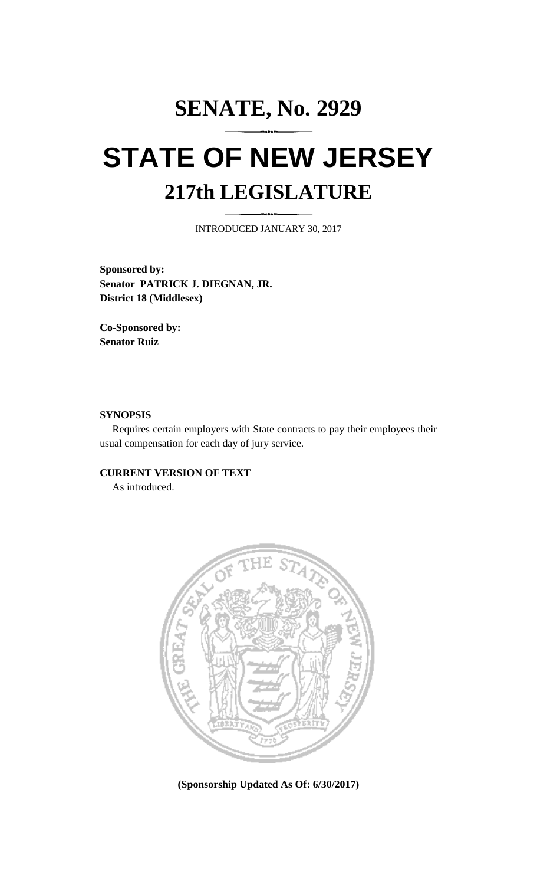# **SENATE, No. 2929 STATE OF NEW JERSEY 217th LEGISLATURE**

INTRODUCED JANUARY 30, 2017

**Sponsored by: Senator PATRICK J. DIEGNAN, JR. District 18 (Middlesex)**

**Co-Sponsored by: Senator Ruiz**

## **SYNOPSIS**

Requires certain employers with State contracts to pay their employees their usual compensation for each day of jury service.

## **CURRENT VERSION OF TEXT**

As introduced.



**(Sponsorship Updated As Of: 6/30/2017)**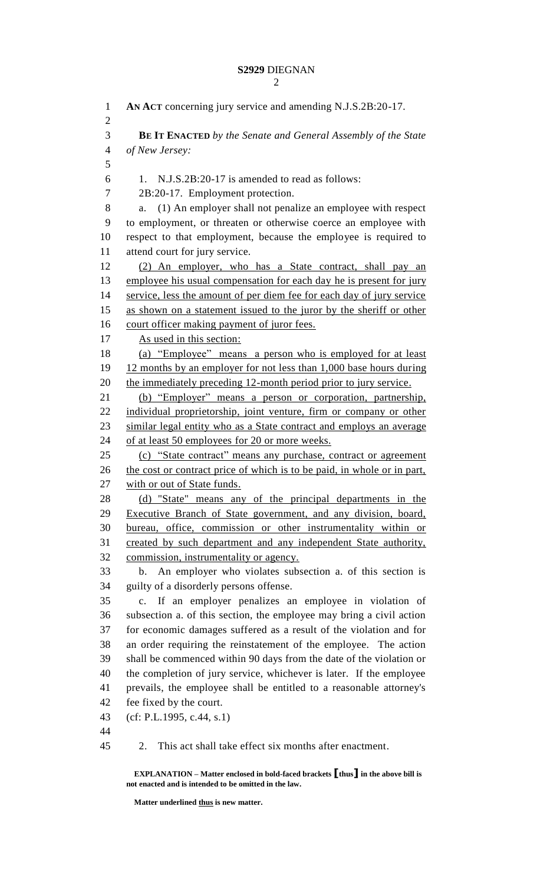#### **S2929** DIEGNAN  $\mathcal{D}$

```
1 AN ACT concerning jury service and amending N.J.S.2B:20-17.
 2
 3 BE IT ENACTED by the Senate and General Assembly of the State 
 4 of New Jersey:
 5
 6 1. N.J.S.2B:20-17 is amended to read as follows:
 7 2B:20-17. Employment protection. 
 8 a. (1) An employer shall not penalize an employee with respect 
9 to employment, or threaten or otherwise coerce an employee with 
10 respect to that employment, because the employee is required to 
11 attend court for jury service. 
12 (2) An employer, who has a State contract, shall pay an 
13 employee his usual compensation for each day he is present for jury
14 service, less the amount of per diem fee for each day of jury service
15 as shown on a statement issued to the juror by the sheriff or other 
16 court officer making payment of juror fees.
17 As used in this section:
18 (a) "Employee" means a person who is employed for at least 
19 12 months by an employer for not less than 1,000 base hours during 
20 the immediately preceding 12-month period prior to jury service. 
21 (b) "Employer" means a person or corporation, partnership, 
22 individual proprietorship, joint venture, firm or company or other 
23 similar legal entity who as a State contract and employs an average 
24 of at least 50 employees for 20 or more weeks.
25 (c) "State contract" means any purchase, contract or agreement
26 the cost or contract price of which is to be paid, in whole or in part,
27 with or out of State funds.
28 (d) "State" means any of the principal departments in the 
29 Executive Branch of State government, and any division, board, 
30 bureau, office, commission or other instrumentality within or 
31 created by such department and any independent State authority, 
32 commission, instrumentality or agency.
33 b. An employer who violates subsection a. of this section is 
34 guilty of a disorderly persons offense. 
35 c. If an employer penalizes an employee in violation of 
36 subsection a. of this section, the employee may bring a civil action 
37 for economic damages suffered as a result of the violation and for 
38 an order requiring the reinstatement of the employee. The action 
39 shall be commenced within 90 days from the date of the violation or 
40 the completion of jury service, whichever is later. If the employee 
41 prevails, the employee shall be entitled to a reasonable attorney's 
42 fee fixed by the court. 
43 (cf: P.L.1995, c.44, s.1)
44
45 2. This act shall take effect six months after enactment.
```
**EXPLANATION – Matter enclosed in bold-faced brackets [thus] in the above bill is not enacted and is intended to be omitted in the law.**

**Matter underlined thus is new matter.**